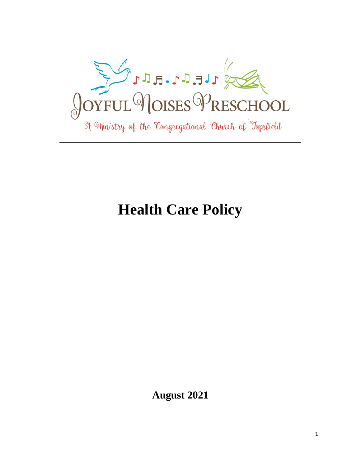

# **Health Care Policy**

**August 2021**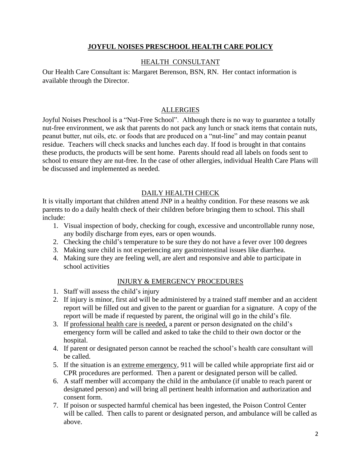## **JOYFUL NOISES PRESCHOOL HEALTH CARE POLICY**

## HEALTH CONSULTANT

Our Health Care Consultant is: Margaret Berenson, BSN, RN. Her contact information is available through the Director.

## **ALLERGIES**

Joyful Noises Preschool is a "Nut-Free School". Although there is no way to guarantee a totally nut-free environment, we ask that parents do not pack any lunch or snack items that contain nuts, peanut butter, nut oils, etc. or foods that are produced on a "nut-line" and may contain peanut residue. Teachers will check snacks and lunches each day. If food is brought in that contains these products, the products will be sent home. Parents should read all labels on foods sent to school to ensure they are nut-free. In the case of other allergies, individual Health Care Plans will be discussed and implemented as needed.

# DAILY HEALTH CHECK

It is vitally important that children attend JNP in a healthy condition. For these reasons we ask parents to do a daily health check of their children before bringing them to school. This shall include:

- 1. Visual inspection of body, checking for cough, excessive and uncontrollable runny nose, any bodily discharge from eyes, ears or open wounds.
- 2. Checking the child's temperature to be sure they do not have a fever over 100 degrees
- 3. Making sure child is not experiencing any gastrointestinal issues like diarrhea.
- 4. Making sure they are feeling well, are alert and responsive and able to participate in school activities

## INJURY & EMERGENCY PROCEDURES

- 1. Staff will assess the child's injury
- 2. If injury is minor, first aid will be administered by a trained staff member and an accident report will be filled out and given to the parent or guardian for a signature. A copy of the report will be made if requested by parent, the original will go in the child's file.
- 3. If professional health care is needed, a parent or person designated on the child's emergency form will be called and asked to take the child to their own doctor or the hospital.
- 4. If parent or designated person cannot be reached the school's health care consultant will be called.
- 5. If the situation is an extreme emergency, 911 will be called while appropriate first aid or CPR procedures are performed. Then a parent or designated person will be called.
- 6. A staff member will accompany the child in the ambulance (if unable to reach parent or designated person) and will bring all pertinent health information and authorization and consent form.
- 7. If poison or suspected harmful chemical has been ingested, the Poison Control Center will be called. Then calls to parent or designated person, and ambulance will be called as above.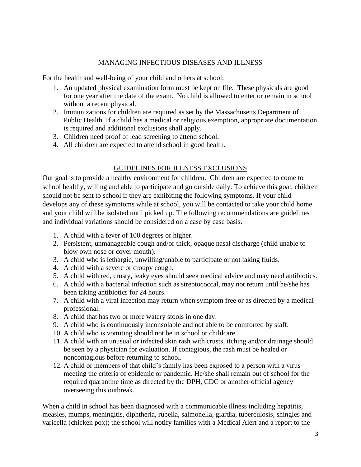## MANAGING INFECTIOUS DISEASES AND ILLNESS

For the health and well-being of your child and others at school:

- 1. An updated physical examination form must be kept on file. These physicals are good for one year after the date of the exam. No child is allowed to enter or remain in school without a recent physical.
- 2. Immunizations for children are required as set by the Massachusetts Department of Public Health. If a child has a medical or religious exemption, appropriate documentation is required and additional exclusions shall apply.
- 3. Children need proof of lead screening to attend school.
- 4. All children are expected to attend school in good health.

# GUIDELINES FOR ILLNESS EXCLUSIONS

Our goal is to provide a healthy environment for children. Children are expected to come to school healthy, willing and able to participate and go outside daily. To achieve this goal, children should not be sent to school if they are exhibiting the following symptoms. If your child develops any of these symptoms while at school, you will be contacted to take your child home and your child will be isolated until picked up. The following recommendations are guidelines and individual variations should be considered on a case by case basis.

- 1. A child with a fever of 100 degrees or higher.
- 2. Persistent, unmanageable cough and/or thick, opaque nasal discharge (child unable to blow own nose or cover mouth).
- 3. A child who is lethargic, unwilling/unable to participate or not taking fluids.
- 4. A child with a severe or croupy cough.
- 5. A child with red, crusty, leaky eyes should seek medical advice and may need antibiotics.
- 6. A child with a bacterial infection such as streptococcal, may not return until he/she has been taking antibiotics for 24 hours.
- 7. A child with a viral infection may return when symptom free or as directed by a medical professional.
- 8. A child that has two or more watery stools in one day.
- 9. A child who is continuously inconsolable and not able to be comforted by staff.
- 10. A child who is vomiting should not be in school or childcare.
- 11. A child with an unusual or infected skin rash with crusts, itching and/or drainage should be seen by a physician for evaluation. If contagious, the rash must be healed or noncontagious before returning to school.
- 12. A child or members of that child's family has been exposed to a person with a virus meeting the criteria of epidemic or pandemic. He/she shall remain out of school for the required quarantine time as directed by the DPH, CDC or another official agency overseeing this outbreak.

When a child in school has been diagnosed with a communicable illness including hepatitis, measles, mumps, meningitis, diphtheria, rubella, salmonella, giardia, tuberculosis, shingles and varicella (chicken pox); the school will notify families with a Medical Alert and a report to the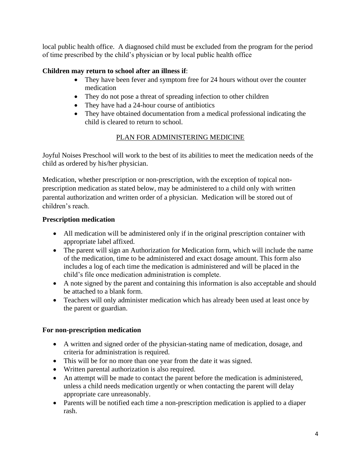local public health office. A diagnosed child must be excluded from the program for the period of time prescribed by the child's physician or by local public health office

# **Children may return to school after an illness if**:

- They have been fever and symptom free for 24 hours without over the counter medication
- They do not pose a threat of spreading infection to other children
- They have had a 24-hour course of antibiotics
- They have obtained documentation from a medical professional indicating the child is cleared to return to school.

# PLAN FOR ADMINISTERING MEDICINE

Joyful Noises Preschool will work to the best of its abilities to meet the medication needs of the child as ordered by his/her physician.

Medication, whether prescription or non-prescription, with the exception of topical nonprescription medication as stated below, may be administered to a child only with written parental authorization and written order of a physician. Medication will be stored out of children's reach.

## **Prescription medication**

- All medication will be administered only if in the original prescription container with appropriate label affixed.
- The parent will sign an Authorization for Medication form, which will include the name of the medication, time to be administered and exact dosage amount. This form also includes a log of each time the medication is administered and will be placed in the child's file once medication administration is complete.
- A note signed by the parent and containing this information is also acceptable and should be attached to a blank form.
- Teachers will only administer medication which has already been used at least once by the parent or guardian.

## **For non-prescription medication**

- A written and signed order of the physician-stating name of medication, dosage, and criteria for administration is required.
- This will be for no more than one year from the date it was signed.
- Written parental authorization is also required.
- An attempt will be made to contact the parent before the medication is administered, unless a child needs medication urgently or when contacting the parent will delay appropriate care unreasonably.
- Parents will be notified each time a non-prescription medication is applied to a diaper rash.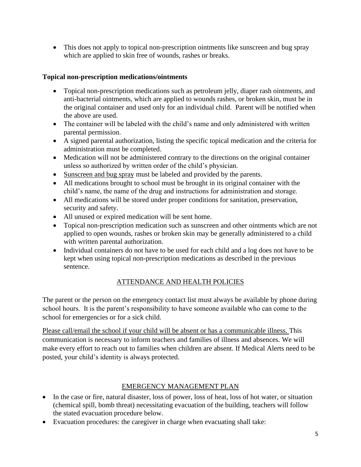• This does not apply to topical non-prescription ointments like sunscreen and bug spray which are applied to skin free of wounds, rashes or breaks.

# **Topical non-prescription medications/ointments**

- Topical non-prescription medications such as petroleum jelly, diaper rash ointments, and anti-bacterial ointments, which are applied to wounds rashes, or broken skin, must be in the original container and used only for an individual child. Parent will be notified when the above are used.
- The container will be labeled with the child's name and only administered with written parental permission.
- A signed parental authorization, listing the specific topical medication and the criteria for administration must be completed.
- Medication will not be administered contrary to the directions on the original container unless so authorized by written order of the child's physician.
- Sunscreen and bug spray must be labeled and provided by the parents.
- All medications brought to school must be brought in its original container with the child's name, the name of the drug and instructions for administration and storage.
- All medications will be stored under proper conditions for sanitation, preservation, security and safety.
- All unused or expired medication will be sent home.
- Topical non-prescription medication such as sunscreen and other ointments which are not applied to open wounds, rashes or broken skin may be generally administered to a child with written parental authorization.
- Individual containers do not have to be used for each child and a log does not have to be kept when using topical non-prescription medications as described in the previous sentence.

# ATTENDANCE AND HEALTH POLICIES

The parent or the person on the emergency contact list must always be available by phone during school hours. It is the parent's responsibility to have someone available who can come to the school for emergencies or for a sick child.

Please call/email the school if your child will be absent or has a communicable illness. This communication is necessary to inform teachers and families of illness and absences. We will make every effort to reach out to families when children are absent. If Medical Alerts need to be posted, your child's identity is always protected.

# EMERGENCY MANAGEMENT PLAN

- In the case or fire, natural disaster, loss of power, loss of heat, loss of hot water, or situation (chemical spill, bomb threat) necessitating evacuation of the building, teachers will follow the stated evacuation procedure below.
- Evacuation procedures: the caregiver in charge when evacuating shall take: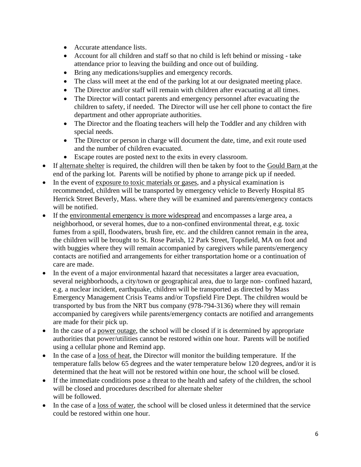- Accurate attendance lists.
- Account for all children and staff so that no child is left behind or missing take attendance prior to leaving the building and once out of building.
- Bring any medications/supplies and emergency records.
- The class will meet at the end of the parking lot at our designated meeting place.
- The Director and/or staff will remain with children after evacuating at all times.
- The Director will contact parents and emergency personnel after evacuating the children to safety, if needed. The Director will use her cell phone to contact the fire department and other appropriate authorities.
- The Director and the floating teachers will help the Toddler and any children with special needs.
- The Director or person in charge will document the date, time, and exit route used and the number of children evacuated.
- Escape routes are posted next to the exits in every classroom.
- If alternate shelter is required, the children will then be taken by foot to the Gould Barn at the end of the parking lot. Parents will be notified by phone to arrange pick up if needed.
- In the event of exposure to toxic materials or gases, and a physical examination is recommended, children will be transported by emergency vehicle to Beverly Hospital 85 Herrick Street Beverly, Mass. where they will be examined and parents/emergency contacts will be notified.
- If the environmental emergency is more widespread and encompasses a large area, a neighborhood, or several homes, due to a non-confined environmental threat, e.g. toxic fumes from a spill, floodwaters, brush fire, etc. and the children cannot remain in the area, the children will be brought to St. Rose Parish, 12 Park Street, Topsfield, MA on foot and with buggies where they will remain accompanied by caregivers while parents/emergency contacts are notified and arrangements for either transportation home or a continuation of care are made.
- In the event of a major environmental hazard that necessitates a larger area evacuation, several neighborhoods, a city/town or geographical area, due to large non- confined hazard, e.g. a nuclear incident, earthquake, children will be transported as directed by Mass Emergency Management Crisis Teams and/or Topsfield Fire Dept. The children would be transported by bus from the NRT bus company (978-794-3136) where they will remain accompanied by caregivers while parents/emergency contacts are notified and arrangements are made for their pick up.
- In the case of a power outage, the school will be closed if it is determined by appropriate authorities that power/utilities cannot be restored within one hour. Parents will be notified using a cellular phone and Remind app.
- In the case of a loss of heat, the Director will monitor the building temperature. If the temperature falls below 65 degrees and the water temperature below 120 degrees, and/or it is determined that the heat will not be restored within one hour, the school will be closed.
- If the immediate conditions pose a threat to the health and safety of the children, the school will be closed and procedures described for alternate shelter will be followed.
- In the case of a loss of water, the school will be closed unless it determined that the service could be restored within one hour.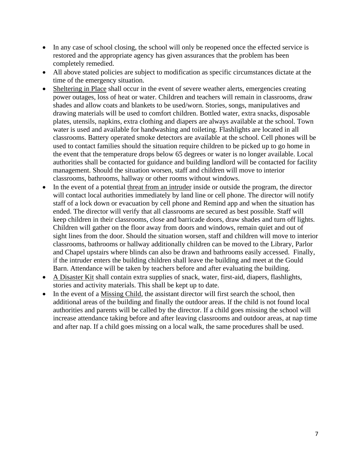- In any case of school closing, the school will only be reopened once the effected service is restored and the appropriate agency has given assurances that the problem has been completely remedied.
- All above stated policies are subject to modification as specific circumstances dictate at the time of the emergency situation.
- Sheltering in Place shall occur in the event of severe weather alerts, emergencies creating power outages, loss of heat or water. Children and teachers will remain in classrooms, draw shades and allow coats and blankets to be used/worn. Stories, songs, manipulatives and drawing materials will be used to comfort children. Bottled water, extra snacks, disposable plates, utensils, napkins, extra clothing and diapers are always available at the school. Town water is used and available for handwashing and toileting. Flashlights are located in all classrooms. Battery operated smoke detectors are available at the school. Cell phones will be used to contact families should the situation require children to be picked up to go home in the event that the temperature drops below 65 degrees or water is no longer available. Local authorities shall be contacted for guidance and building landlord will be contacted for facility management. Should the situation worsen, staff and children will move to interior classrooms, bathrooms, hallway or other rooms without windows.
- In the event of a potential threat from an intruder inside or outside the program, the director will contact local authorities immediately by land line or cell phone. The director will notify staff of a lock down or evacuation by cell phone and Remind app and when the situation has ended. The director will verify that all classrooms are secured as best possible. Staff will keep children in their classrooms, close and barricade doors, draw shades and turn off lights. Children will gather on the floor away from doors and windows, remain quiet and out of sight lines from the door. Should the situation worsen, staff and children will move to interior classrooms, bathrooms or hallway additionally children can be moved to the Library, Parlor and Chapel upstairs where blinds can also be drawn and bathrooms easily accessed. Finally, if the intruder enters the building children shall leave the building and meet at the Gould Barn. Attendance will be taken by teachers before and after evaluating the building.
- A Disaster Kit shall contain extra supplies of snack, water, first-aid, diapers, flashlights, stories and activity materials. This shall be kept up to date.
- In the event of a Missing Child, the assistant director will first search the school, then additional areas of the building and finally the outdoor areas. If the child is not found local authorities and parents will be called by the director. If a child goes missing the school will increase attendance taking before and after leaving classrooms and outdoor areas, at nap time and after nap. If a child goes missing on a local walk, the same procedures shall be used.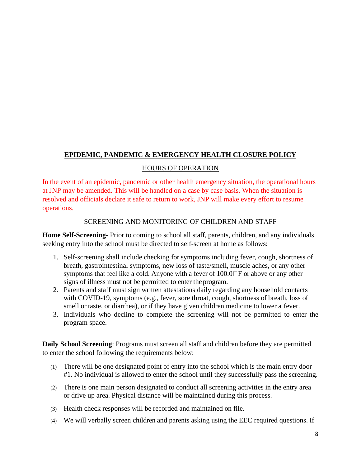# **EPIDEMIC, PANDEMIC & EMERGENCY HEALTH CLOSURE POLICY**

#### HOURS OF OPERATION

In the event of an epidemic, pandemic or other health emergency situation, the operational hours at JNP may be amended. This will be handled on a case by case basis. When the situation is resolved and officials declare it safe to return to work, JNP will make every effort to resume operations.

#### SCREENING AND MONITORING OF CHILDREN AND STAFF

**Home Self-Screening-** Prior to coming to school all staff, parents, children, and any individuals seeking entry into the school must be directed to self-screen at home as follows:

- 1. Self-screening shall include checking for symptoms including fever, cough, shortness of breath, gastrointestinal symptoms, new loss of taste/smell, muscle aches, or any other symptoms that feel like a cold. Anyone with a fever of  $100.0\text{ or } 1000$  or above or any other signs of illness must not be permitted to enter the program.
- 2. Parents and staff must sign written attestations daily regarding any household contacts with COVID-19, symptoms (e.g., fever, sore throat, cough, shortness of breath, loss of smell or taste, or diarrhea), or if they have given children medicine to lower a fever.
- 3. Individuals who decline to complete the screening will not be permitted to enter the program space.

**Daily School Screening**: Programs must screen all staff and children before they are permitted to enter the school following the requirements below:

- (1) There will be one designated point of entry into the school which is the main entry door #1. No individual is allowed to enter the school until they successfully pass the screening.
- (2) There is one main person designated to conduct all screening activities in the entry area or drive up area. Physical distance will be maintained during this process.
- (3) Health check responses will be recorded and maintained on file.
- (4) We will verbally screen children and parents asking using the EEC required questions. If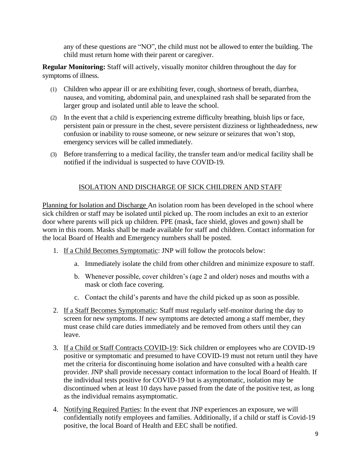any of these questions are "NO", the child must not be allowed to enter the building. The child must return home with their parent or caregiver.

**Regular Monitoring:** Staff will actively, visually monitor children throughout the day for symptoms of illness.

- (1) Children who appear ill or are exhibiting fever, cough, shortness of breath, diarrhea, nausea, and vomiting, abdominal pain, and unexplained rash shall be separated from the larger group and isolated until able to leave the school.
- (2) In the event that a child is experiencing extreme difficulty breathing, bluish lips or face, persistent pain or pressure in the chest, severe persistent dizziness or lightheadedness, new confusion or inability to rouse someone, or new seizure or seizures that won't stop, emergency services will be called immediately.
- (3) Before transferring to a medical facility, the transfer team and/or medical facility shall be notified if the individual is suspected to have COVID-19.

# ISOLATION AND DISCHARGE OF SICK CHILDREN AND STAFF

Planning for Isolation and Discharge An isolation room has been developed in the school where sick children or staff may be isolated until picked up. The room includes an exit to an exterior door where parents will pick up children. PPE (mask, face shield, gloves and gown) shall be worn in this room. Masks shall be made available for staff and children. Contact information for the local Board of Health and Emergency numbers shall be posted.

- 1. If a Child Becomes Symptomatic: JNP will follow the protocols below:
	- a. Immediately isolate the child from other children and minimize exposure to staff.
	- b. Whenever possible, cover children's (age 2 and older) noses and mouths with a mask or cloth face covering.
	- c. Contact the child's parents and have the child picked up as soon as possible.
- 2. If a Staff Becomes Symptomatic: Staff must regularly self-monitor during the day to screen for new symptoms. If new symptoms are detected among a staff member, they must cease child care duties immediately and be removed from others until they can leave.
- 3. If a Child or Staff Contracts COVID-19: Sick children or employees who are COVID-19 positive or symptomatic and presumed to have COVID-19 must not return until they have met the criteria for discontinuing home isolation and have consulted with a health care provider. JNP shall provide necessary contact information to the local Board of Health. If the individual tests positive for COVID-19 but is asymptomatic, isolation may be discontinued when at least 10 days have passed from the date of the positive test, as long as the individual remains asymptomatic.
- 4. Notifying Required Parties: In the event that JNP experiences an exposure, we will confidentially notify employees and families. Additionally, if a child or staff is Covid-19 positive, the local Board of Health and EEC shall be notified.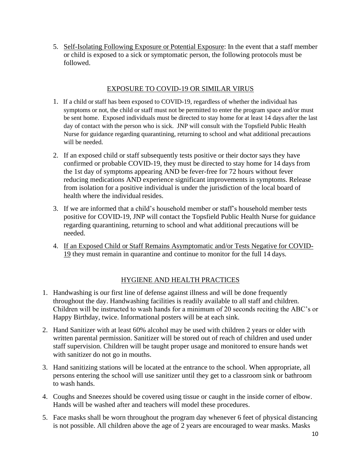5. Self-Isolating Following Exposure or Potential Exposure: In the event that a staff member or child is exposed to a sick or symptomatic person, the following protocols must be followed.

#### EXPOSURE TO COVID-19 OR SIMILAR VIRUS

- 1. If a child or staff has been exposed to COVID-19, regardless of whether the individual has symptoms or not, the child or staff must not be permitted to enter the program space and/or must be sent home. Exposed individuals must be directed to stay home for at least 14 days after the last day of contact with the person who is sick. JNP will consult with the Topsfield Public Health Nurse for guidance regarding quarantining, returning to school and what additional precautions will be needed.
- 2. If an exposed child or staff subsequently tests positive or their doctor says they have confirmed or probable COVID-19, they must be directed to stay home for 14 days from the 1st day of symptoms appearing AND be fever-free for 72 hours without fever reducing medications AND experience significant improvements in symptoms. Release from isolation for a positive individual is under the jurisdiction of the local board of health where the individual resides.
- 3. If we are informed that a child's household member or staff's household member tests positive for COVID-19, JNP will contact the Topsfield Public Health Nurse for guidance regarding quarantining, returning to school and what additional precautions will be needed.
- 4. If an Exposed Child or Staff Remains Asymptomatic and/or Tests Negative for COVID-19 they must remain in quarantine and continue to monitor for the full 14 days.

## HYGIENE AND HEALTH PRACTICES

- 1. Handwashing is our first line of defense against illness and will be done frequently throughout the day. Handwashing facilities is readily available to all staff and children. Children will be instructed to wash hands for a minimum of 20 seconds reciting the ABC's or Happy Birthday, twice. Informational posters will be at each sink.
- 2. Hand Sanitizer with at least 60% alcohol may be used with children 2 years or older with written parental permission. Sanitizer will be stored out of reach of children and used under staff supervision. Children will be taught proper usage and monitored to ensure hands wet with sanitizer do not go in mouths.
- 3. Hand sanitizing stations will be located at the entrance to the school. When appropriate, all persons entering the school will use sanitizer until they get to a classroom sink or bathroom to wash hands.
- 4. Coughs and Sneezes should be covered using tissue or caught in the inside corner of elbow. Hands will be washed after and teachers will model these procedures.
- 5. Face masks shall be worn throughout the program day whenever 6 feet of physical distancing is not possible. All children above the age of 2 years are encouraged to wear masks. Masks